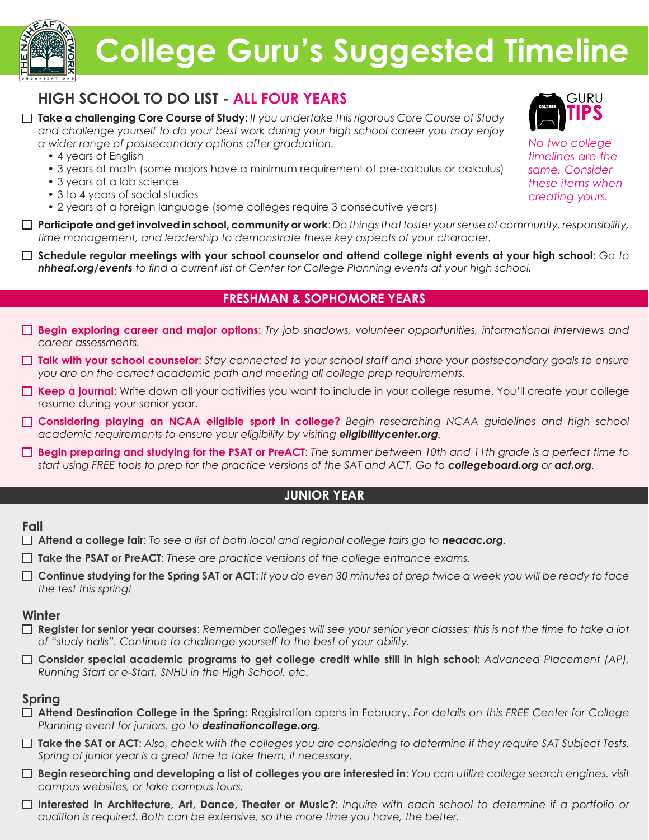

# **College Guru's Suggested Timeline**

# **HIGH SCHOOL TO DO LIST - ALL FOUR YEARS**

- **Take a challenging Core Course of Study**: *If you undertake this rigorous Core Course of Study and challenge yourself to do your best work during your high school career you may enjoy a wider range of postsecondary options after graduation.*
	- 4 years of English
	- 3 years of math (some majors have a minimum requirement of pre-calculus or calculus)
	- 3 years of a lab science
	- 3 to 4 years of social studies
	- 2 years of a foreign language (some colleges require 3 consecutive years)
- **Participate and get involved in school, community or work**: *Do things that foster your sense of community, responsibility, time management, and leadership to demonstrate these key aspects of your character.*
- **Schedule regular meetings with your school counselor and attend college night events at your high school**: *Go to nhheaf.org/events to find a current list of Center for College Planning events at your high school.*

# **FRESHMAN & SOPHOMORE YEARS**

- **Begin exploring career and major options**: *Try job shadows, volunteer opportunities, informational interviews and career assessments.*
- **Talk with your school counselor**: *Stay connected to your school staff and share your postsecondary goals to ensure you are on the correct academic path and meeting all college prep requirements.*
- **Keep a journal**: Write down all your activities you want to include in your college resume. You'll create your college resume during your senior year.
- **Considering playing an NCAA eligible sport in college?** *Begin researching NCAA guidelines and high school academic requirements to ensure your eligibility by visiting eligibilitycenter.org.*
- **Begin preparing and studying for the PSAT or PreACT**: *The summer between 10th and 11th grade is a perfect time to start using FREE tools to prep for the practice versions of the SAT and ACT. Go to collegeboard.org or act.org.*

# **JUNIOR YEAR**

### **Fall**

- **Attend a college fair**: *To see a list of both local and regional college fairs go to neacac.org.*
- **Take the PSAT or PreACT**: *These are practice versions of the college entrance exams.*
- **Continue studying for the Spring SAT or ACT**: *If you do even 30 minutes of prep twice a week you will be ready to face the test this spring!*

### **Winter**

- **Register for senior year courses**: *Remember colleges will see your senior year classes; this is not the time to take a lot of "study halls". Continue to challenge yourself to the best of your ability.*
- **Consider special academic programs to get college credit while still in high school**: *Advanced Placement (AP), Running Start or e-Start, SNHU in the High School, etc.*

## **Spring**

- **Attend Destination College in the Spring**: Registration opens in February. *For details on this FREE Center for College Planning event for juniors, go to destinationcollege.org.*
- **Take the SAT or ACT**: *Also, check with the colleges you are considering to determine if they require SAT Subject Tests. Spring of junior year is a great time to take them, if necessary.*
- **Begin researching and developing a list of colleges you are interested in**: *You can utilize college search engines, visit campus websites, or take campus tours.*
- **Interested in Architecture, Art, Dance, Theater or Music?**: *Inquire with each school to determine if a portfolio or audition is required. Both can be extensive, so the more time you have, the better.*



*No two college timelines are the same. Consider these items when creating yours.*